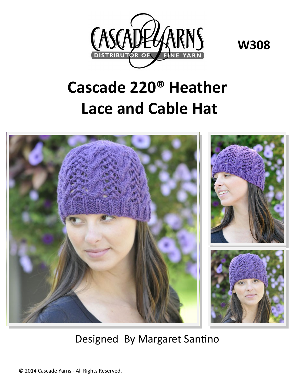

**W308**

## **Cascade 220® Heather Lace and Cable Hat**



Designed By Margaret Santino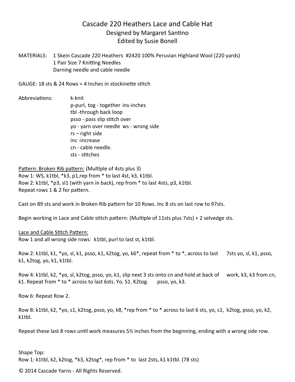## Cascade 220 Heathers Lace and Cable Hat Designed by Margaret Santino Edited by Susie Bonell

MATERIALS: 1 Skein Cascade 220 Heathers #2420 100% Peruvian Highland Wool (220 yards) 1 Pair Size 7 Knitting Needles Darning needle and cable needle

GAUGE: 18 sts & 24 Rows = 4 Inches in stockinette stitch

Abbreviations: k-knit p-purl, tog - together ins-inches tbl -through back loop psso - pass slip stitch over yo - yarn over needle ws - wrong side rs – right side inc -increase cn - cable needle. sts - stitches

Pattern: Broken Rib pattern: (Multiple of 4sts plus 3) Row 1: WS, k1tbl, \*k3, p1,rep from \* to last 4st, k3, k1tbl. Row 2: k1tbl, \*p3, sl1 (with yarn in back), rep from \* to last 4sts, p3, k1tbl. Repeat rows 1 & 2 for pattern.

Cast on 89 sts and work in Broken Rib pattern for 10 Rows. Inc 8 sts on last row to 97sts.

Begin working in Lace and Cable stitch pattern: (Multiple of 11sts plus 7sts) + 2 selvedge sts.

Lace and Cable Stitch Pattern: Row 1 and all wrong side rows: k1tbl, purl to last st, k1tbl.

Row 2: k1tbl, k1, \*yo, sl, k1, psso, k1, k2tog, yo, k6\*, repeat from \* to \*, across to last 7sts yo, sl, k1, psso, k1, k2tog, yo, k1, k1tbl.

Row 4: k1tbl, k2, \*yo, sl, k2tog, psso, yo, k1, slip next 3 sts onto cn and hold at back of work, k3, k3 from cn, k1. Repeat from \* to \* across to last 6sts. Yo. S1. K2tog. psso, yo, k3.

Row 6: Repeat Row 2.

Row 8: k1tbl, k2, \*yo, s1, k2tog, psso, yo, k8, \*rep from \* to \* across to last 6 sts, yo, s1, k2tog, psso, yo, k2, k1tbl.

Repeat these last 8 rows until work measures 5½ inches from the beginning, ending with a wrong side row.

Shape Top: Row 1: k1tbl, k2, k2tog, \*k3, k2tog\*, rep from \* to last 2sts, k1 k1tbl. (78 sts)

© 2014 Cascade Yarns - All Rights Reserved.